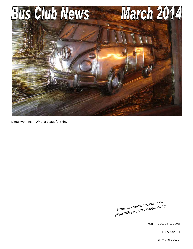Arizona Bus Club

PO Box 65001

Phoenix, Arizona 85082

bathgildaid ai ladal aeanbba tuoy ti<br>B<sup>a</sup>inismat agusei <sub>nut a</sub> guinismay zauezi owt avad uoy ti<br>Buinismay eauezi owt avad uoy

Metal working. What a beautiful thing.

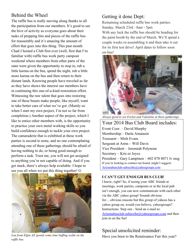# Behind the Wheel

The raffle bus is really moving along thanks to all the participation from our members. It's good to see the hive of activity as everyone goes about their tasks of prepping bits and pieces of the raffle bus for reassembly and it's amazing the amount of effort that goes into this thing. This past month Chad J hosted a Club first ever (well, first that I'm familiar with) raffle bus work party campout weekend where members from other parts of the state were given the opportunity to stop in, rub a little karma on the bus, spend the night, rub a little more karma on the bus and then return to their distant lands. Knowing people have traveled as far as they have shows the interest our members have in continuing this one-of-a-kind restoration effort. Witnessing the raw talent that goes into restoring one of these beasts make people, like myself, want to take better care of what we've got. (Mainly so when I start my own project, I'm not so far from completion.) Another aspect of the project, which I like to entice other members with, is the opportunity to practice your own metal working skills so you build confidence enough to tackle your own project. The camaraderie that is exhibited at these work parties is second to none, and no one contemplating attending one of these gatherings should be afraid of having nothing to do, or being good enough to perform a task. Trust me, you will not get assigned to anything you're not capable of doing. And if you get stuck, there's always help available. I hope to see you all when we put this thing together! G



*Lou from Elgin AZ spends some time buffing welds on the raffle bus.* 

# Getting it done Dept:

Remaining scheduled raffle bus work parties: Sunday, March 23rd - 8am - 5pm With any luck the raffle bus should be heading for the paint booth by the end of March. We'll spend a couple weeks re-assembling it and then take it out for its first test drive! April dates to follow soon on-line!



*Always good to see Evelyn and Valentine at these gatherings.* 

Your 2014 Bus Club Board includes: Event Coor. – David Murphy Membership – Darla Amatasin Treasurer – Mish Evans Sergeant at Arms – Will Davis Vice President – Jeremiah Polynone Secretary – Kris or Joyce President – Gary Lampinen – 602 870 8071 lv msg If you're looking to contact our board, might I suggest: Arizonabusclub-subscribe@yahoogroups.com

#### **I CAN'T GET ENOUGH BUS CLUB!**

I know, right? So, if seeing your ABC friends at meetings, work parties, campouts or at the local pub isn't enough, you can now communicate with each other via the ABC yahoo group! Sounds obvious for….obvious reasons but this group of yahoos has a yahoo group on, would you believe, yahoogroups? Instructions: Step one - Send an e-mail to: Arizonabusclub-subscribe@yahoogroups.com and then join in on the fun!

# Special unsolicited reminder:

Have you been to the Renaissance Fair this year?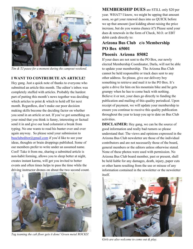

*Tim & TJ pause for a moment during the campout weekend.* 

#### **I WANT TO CONTRUBUTE AN ARTICLE!**

Hey gang. Just a quick note of thanks to everyone who submitted an article this month. The editor's inbox was completely stuffed with articles. Probably the hardest part of putting this month's news together was deciding which articles to print  $\&$  which to hold off for next month. Regardless, don't make our poor decision making skills become the deciding factor on whether you send in an article or not. If you've got something on your mind that you think is funny, interesting or factual send it in and give our lead columnist a break from typing. No one wants to read his banter over and over again anyway. So please send your submission to busclubeditor@gmail.com if you'd like to see your ideas, thoughts or brain droppings published. Some of our members prefer to write under an assumed name. Cool! Take it from me, sharing a submitted article is non-habit forming, allows you to sleep better at night, creates instant karma, will get you invited to better events and often times helps to pass the time while the driving instructor drones on about the two second count.



*Tag teaming the cab floor gets it done! Green metal ROCKS!* 

**MEMBERSHIP DUES** are STILL only \$20 per year. WHAT? I know, we might be upping that amount soon, so get your renewal dues into us QUICK before we up that amount (just kidding about raising the price increase, but do you wanna chance it?) Please send your dues & renewals in the form of Check, M.O. or EBT debit cards directly to:

#### **Arizona Bus Club c/o Membership PO Box 65001 Phoenix Arizona 85082**

If your dues are not sent to the PO Box, our newly elected Membership Coordinator, Darla, will not be able to update your membership. The Arizona Bus Club cannot be held responsible or track dues sent to any other address. So please, give our delivery boy something to retrieve and mail it to the PO Box. It's quite a drive for him on his mountain bike and he gets grumpy when he has to come back with nothing. Believe it or not, your dues go directly to funding the publication and mailing of this quality periodical. Upon receipt of payment, we will update your membership to ensure you continue to receive this quality publication throughout the year to keep you up to date on Bus Club activities.

**DISCLAIMER:** Hey gang, we can be the source of good information and really bad rumors so please understand that: The views and opinions expressed in the Arizona Bus Club newsletter are those of the individual contributors and are not necessarily those of the board, general members or the editors unless otherwise stated. None of these photos were used with permission. No Arizona Bus Club board member, past or present, shall be held liable for any damages, death, injury, paper cuts or other harm resulting from the use or misuse of any information contained in the newsletter or the newsletter itself.



*Girls are also welcome to come out & play.*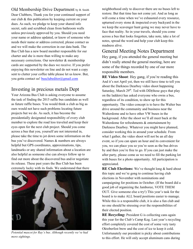Old Membership Drive Department by B. Smith Dear Clubbers, Thank you for your continued support of our club & this publication by keeping current on your dues. As such, we pledge to keep your shared info secret, safe and scrubbed clean from bathroom walls unless previously approved by you. Should you need your name or address updated, or know of someone who needs their name or address corrected, please contact us and we will make the correction in our data bank. The Bus Club has a new board member responsible for our charter and she is more than willing to make any necessary corrections. Our newsletter & membership cards are supported by the dues we receive. If you prefer enjoying this newsletter on line and do not want a copy sent to clutter your coffee table please let us know. But, you gotta contact us! busclubeditor@gmail.com

# Investing in precious metals Dept

Your Arizona Bus Club is asking everyone to assume the task of finding the 2015 raffle bus candidate as well as future raffle buses. You would think a club as big as ours would not have such problems locating future projects but we do. As such, it has become the presidentially designated responsibility of every club member to explore the road less traveled and keep their eyes open for the next club project. Should you come across a bus that you, yourself are not interested in, please take the time to jot down some information on the bus you've discovered. Names & numbers are always helpful but GPS coordinates, approximations, tips, landmarks or any shared information about a location are also helpful as someone else can always follow up to find out more about the discovered bus and/or negotiate its release. These past years the Bus Club has been extremely lucky with its finds. We understand that there



*Potential mascot for Ray's bus. Although recently we've had more sightings.* 

neighborhood only to discover there are no buses left to restore. But that time has not come yet. And as long as will come a time when we've exhausted every resource, upturned every stone & inspected every backyard in the we keep the scavenger hunt going we may never have to face that reality. So in your travels, should you come across a bus that looks forgotten, take note, take a lot of notes, spread the word and help your club keep this madness alive.

### General Meeting Notes Department

Hey gang, if you attended the general meeting but didn't really attend the general meeting, here are some of the things recorded by one of our more responsible members.

**RE Video Shoot**: Hey gang, if you're reading this And it's not April yet, then we still have time to tell you about the Darkness Dearboy video shoot happening Saturday, March  $29<sup>th</sup>$ . Ted with DD(those guys that play on the ladders) has asked everyone who owns a bus, regardless of its condition, to show up for this opportunity. The video concept is to have the Walter bus drive around the community and business near the Walterdome and to have other VW buses in the background. After the shoot we'll all meet back at the Walterdome for refreshments & entertainment by Darkness Dearboy. Whatever you might have planned, consider working this in around your schedule. From what I gather, the video shoot will not be an all day event, so if you can spare an hour and its convenient for you, we can place you so you're seen as the bus drives by and then you're free to go. If you can just make the after party, please come as we need to fill the parking lot with buses for a photo opportunity. All participation is appreciated.

**RE Club Elections:** We've thought long & hard about this topic and we're gong to continue having club elections in November with nominations and campaigning for positions in October. (If the board did a good job of organizing the Jamboree, VOTE THEM OUT. Give someone else a try!) This year's task for the board is to make ALL board positions easier to manage. While this is a responsible club, it is also a fun club and no one should be stressing over the responsibilities of their elected position.

**RE Recycling:** President G is collecting cans again this year for the Club's Camp Keg. Last year's recycling effort completely covered the cost of some very tasty Oktoberfest brew and the cost of ice to keep it cold. Unfortunately our president is picky about contributions to this effort. He will only accept aluminum cans during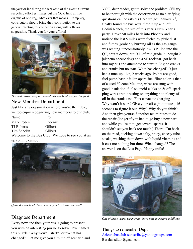the year or ice during the weekend of the event. Current recycling effort estimates put the CCK fund at five eighths of one keg, what ever that means. Camp keg contributors should bring their contribution to the general meeting for collection along with a flavor suggestion. Thank you for your efforts!



*The real reason people showed this weekend was for the food.* 

## New Member Department

Just like any organization where you're the nubie, we too enjoy recognizing new members to our club.

| Name              | From    |
|-------------------|---------|
| Mark Peden        | Phoenix |
| <b>TJ</b> Roberts | Gilbert |
| Tim Scholin       | Gilbert |
|                   |         |

Welcome to the Bus Club! We hope to see you at an up coming campout!



*Quite the weekend Chad. Thank you to all who showed!* 

## Diagnose Department

Every now and then your bus is going to present you with an interesting puzzle to solve. I've named this puzzle "Why won't I start?" or "What has changed?" Let me give you a "simple" scenario and

YOU, dear reader, get to solve the problem. (I'll try to be thorough with the description as no clarifying questions can be asked.) Here we go: January  $3<sup>rd</sup>$ , finally found the bus keys, fired it up and left Badini Ranch, the site of this year's New Year's party. Drove 50 miles back into Phoenix and noticed the last 5 miles were fueled by pixie dust and fumes (probably burning oil as the gas gauge was reading 'uncomfortably low'.) Pulled into the QT, shut it down, put 20L of mid grade in, bought 2 jalapeño cheese dogs and a SF rockstar, got back into my bus and attempted to start it. Engine cranks and cranks but no start. What has changed? It just had a tune-up, like, 2 weeks ago. Points are good, fuel pump hasn't fallen apart, fuel filter color is that of a used #2 cone Mellette, wires are snug with good insulation, fuel solenoid clicks on & off, spark plug wires aren't resting on anything hot, plenty of oil in the crank case. Flux capacitor charging…. Why won't it start? Give yourself eight minutes, 16 seconds to figure it out. Why? Why do you think? And then give yourself another ten minutes to do the repair (longer if you had to go buy a new part, and while you're at it, get several spares. It shouldn't set you back too much.) There! I'm back on the road, sucking down salty, spicy, cheesy tube steaks, washing them down with liquid vitamins and it cost me nothing but time. What changed? The answer is on the Last Page. Happy trails!



*One of these years, we may not have time to restore a full bus.* 

Things to remember Dept. Arizonabusclub-subscribe@yahoogroups.com Busclubeditor @gmail.com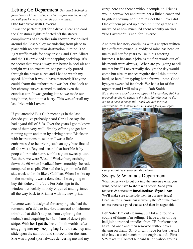#### Letting Go Department *Our own Bob Smith is forced to cull his herd of a prized bus before heading out of the valley as he describes in this essay entitled…*

#### **One last drive with Laverne**

It was the perfect night for a drive. Clear and cool the Christmas lights reflected off the streets compliments of an earlier rain shower. We cruised around the East Valley meandering from place to place with no particular destination in mind. The light traffic made for easy driving and Herb Albert and the TJB provided a toe-tapping backdrop. It's no secret that buses always run better in cool air and tonight was no exception; she positively purred through the power curve and I had to watch my speed. Not that it would have mattered; if anyone could charm the authorities it was her. One look at her chromy curves seemed to soften even the crustiest cop. It was getting late so we made our way home, but not in a hurry. This was after all my last drive with Laverne.

If you attended Bus Club meetings in the last decade you've probably heard Chris Lee say she had a yard full of 71's. Over the years I got to know one of them very well; first by offering to get her running again and then by driving her to Blackstar with instructions to sell her. I was a little embarrassed to be driving such an ugly bus; first of all she was a Bay and second that horrible babypoop color made her resemble a giant sweet potato. But there we were West of Wickenburg cruising down the 60 when I realized how smoothly she rode compared to a split. She had the leg room of a full size truck and rode like a Cadillac. When I woke up in the morning it was a done deal; I was going to buy this deluxe. I left the For Sale sign in the window but luckily nobody enquired and I grinned all the way back to Arizona with my new prize.

Laverne wasn't designed for camping; she had the remnants of a deluxe interior, a sunroof and chrome trim but that didn't stop us from exploring the outback and acquiring her fair share of desert pin stripe. With her I got the best of both worlds; after snuggling into my sleeping bag I could reach up and slide open the sun roof and snooze under the stars. She was a good sport always delivering me and my

cargo here and thence without complaint. Friends would borrow her and return her a little cleaner and brighter; showing her more respect than I ever did. One of them picked up a receipt in the garage and marveled at how much I'd spent recently on tires "For Laverne??" Yeah, for Laverne…

And now her story continues with a chapter written by a different owner. A buddy of mine has been on me to sell her for years to use in his catering business. It became a joke as the first words out of his mouth were always, "When are you going to sell me that bus?" I never really thought the day would come but circumstances require that I thin out the herd, so here I am typing her a farewell note. Good bye you sweet 'ol fat chick. We had a lot of fun together and I will miss you. - Bob Smith *We at the news aren't sure we agree with everything Bob has to say about the fat chicks in the club, but what can we do? We're in need of cheap fill. Thank you Bob for your contribution. We look forward to hearing from you again!*



*Can you spot the coaster in this picture?*  Swaps & Want ads Department What better way to put out into the universe what you want, need or have to share with others. Send your requests & notices to: **Busclubeditor @gmail.com** We'll make sure to include them in our next issue! Deadline for submissions is usually the  $5<sup>th</sup>$  of the month

unless there is a good excuse and then its negotiable.

**For Sale:** I'm out cleaning up a bit and found a couple of things I'm selling. I have a pair of bug ball joint dropped spindles from CB Performance. Installed once and then removed without ever driving on them. \$140 or will trade for bus parts. I also have a used bench mount engine stand. First \$25 takes it. Contact Richard K. on yahoo groups.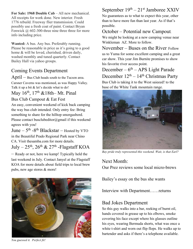**For Sale: 1968 Double Cab – All new mechanical.** All receipts for work done. New interior. Fresh 1776 rebuild. Freeway flier transmission. Could possibly use a fresh coat of paint. Contact Bryan Fenwick @ 602-300-three nine three three for more info including price.

**Wanted:** A bus. Any bus. Preferably running. Please be reasonable in price as it's going to a good home & will be loved, cherished, driven daily, washed monthly and tuned quarterly. Contact Bailey Hall via yahoo groups.

## Coming Events Department

April – Bus Club heads south to the Tucson area. Carsner Caverns was mentioned, as was Happy Valley. Talk it up a bit & let's decide what to do!

### May  $16^{th}$ ,  $17^{th}$  & 18th– Mt. Pinal

#### Bus Club Campout & Eat Fest

An easy, convenient weekend of kick back camping the way bus club intended. Only entry fee: Bring something to share for the hilltop smorgasbord. Please contact busclubeditor@gmail if this weekend agrees with you!

June  $-5$ <sup>th</sup>  $-8$ <sup>th</sup> Blackstar  $-$  Hosted by VTO in the Beautiful Prado Regional Park near Chino CA. Visit thesamba.com for more details.

## July –  $25<sup>th</sup>$ ,  $26<sup>th</sup>$  &  $27<sup>th</sup>$  -Flagstaff KOA

– Ready or not, here we kamp! Typically held the last weekend in July. Contact Janyel at the Flagstaff KOA for more details about field trips to local brew pubs, new age stores & more!



#### We might be looking at a new camping venue near Winkleman AZ. More to follow.

possible.

November – Buses on the River Follow us to Yuma for some excellent camping and a great car show. This year Jim Burnite promises to show his favorite river access point.

September  $19<sup>th</sup> - 21<sup>st</sup>$  Jamboree XXIV No guarantees as to what to expect this year, other than to have more fun than last year. As if that's

October – Potential new Campout.

December –  $6<sup>th</sup>$  – APS Light Parade December  $12<sup>th</sup> - 14<sup>th</sup>$  Christmas Party Bus Club is taking it to the West saieeed! to the base of the White Tank mountain range.



*Bay pride truly represented this weekend. Wait, is that Earl?* 

Next Month: Our Prez reviews some local micro-brews

Bailey's essay on the bus she wants

Interview with Department……returns

## Bad Jokes Department

So this guy walks into a bar, reeking of burnt oil, hands covered in grease up to his elbows, smoke covering his face except where his glasses outline his eyes, wearing Bermuda shorts, what was once a white t-shirt and worn out flip flops. He walks up to bartender and asks if there's a telephone available.

*You guessed it. Perfect fit!*